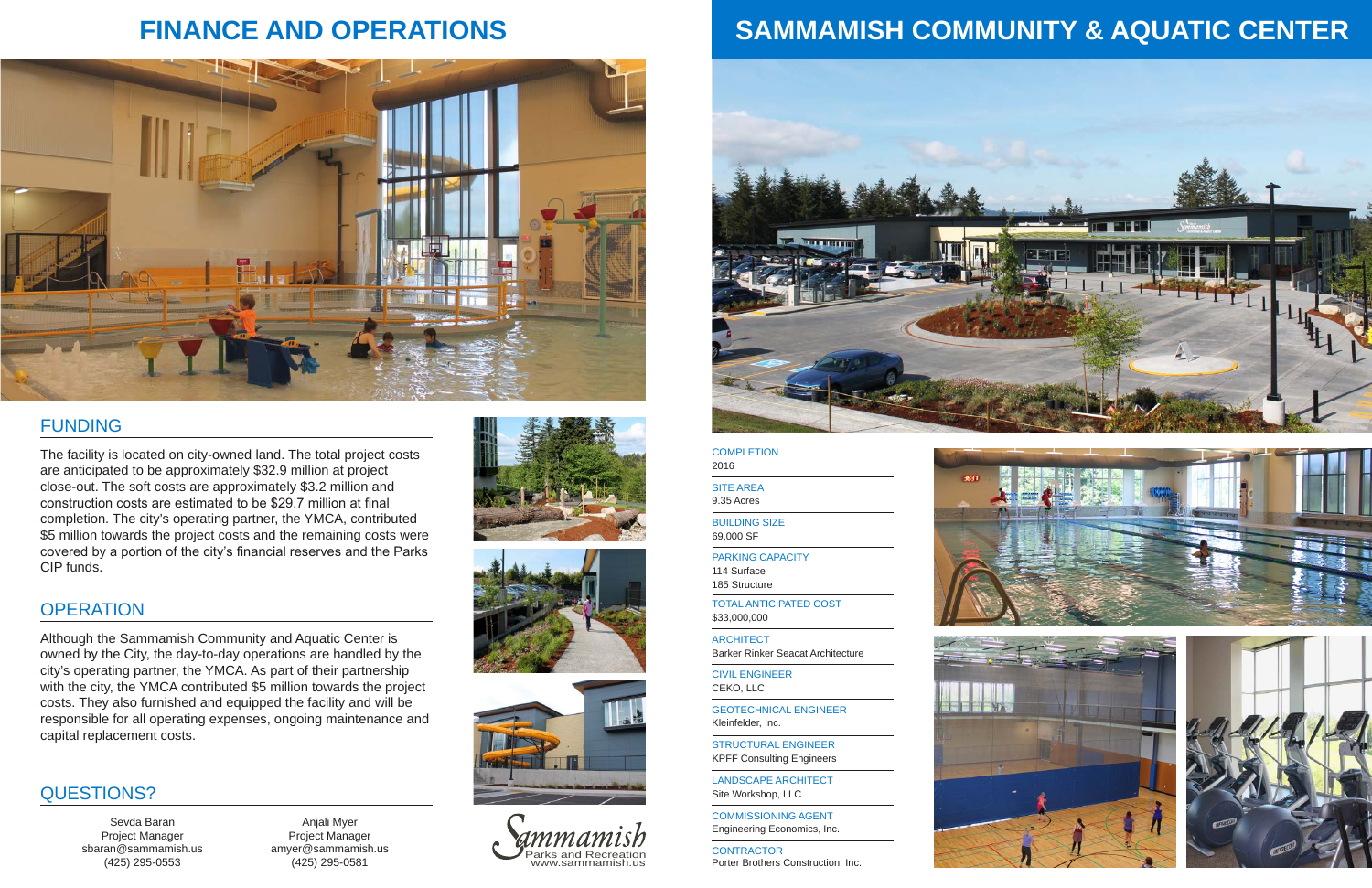**ARCHITECT** Barker Rinker Seacat Architecture

**CONTRACTOR** Porter Brothers Construction, Inc.





CIVIL ENGINEER CEKO, LLC

#### **COMPLETION** 2016

STRUCTURAL ENGINEER KPFF Consulting Engineers

LANDSCAPE ARCHITECT Site Workshop, LLC

BUILDING SIZE 69,000 SF

TOTAL ANTICIPATED COST \$33,000,000

PARKING CAPACITY 114 Surface 185 Structure

SITE AREA 9.35 Acres

GEOTECHNICAL ENGINEER Kleinfelder, Inc.

COMMISSIONING AGENT Engineering Economics, Inc.

# **SAMMAMISH COMMUNITY & AQUATIC CENTER**



## FUNDING

## **FINANCE AND OPERATIONS**





The facility is located on city-owned land. The total project costs are anticipated to be approximately \$32.9 million at project close-out. The soft costs are approximately \$3.2 million and construction costs are estimated to be \$29.7 million at final completion. The city's operating partner, the YMCA, contributed \$5 million towards the project costs and the remaining costs were covered by a portion of the city's financial reserves and the Parks CIP funds.



#### QUESTIONS?

Anjali Myer Project Manager amyer@sammamish.us (425) 295-0581







Sevda Baran Project Manager sbaran@sammamish.us (425) 295-0553

Although the Sammamish Community and Aquatic Center is owned by the City, the day-to-day operations are handled by the city's operating partner, the YMCA. As part of their partnership with the city, the YMCA contributed \$5 million towards the project costs. They also furnished and equipped the facility and will be responsible for all operating expenses, ongoing maintenance and capital replacement costs.